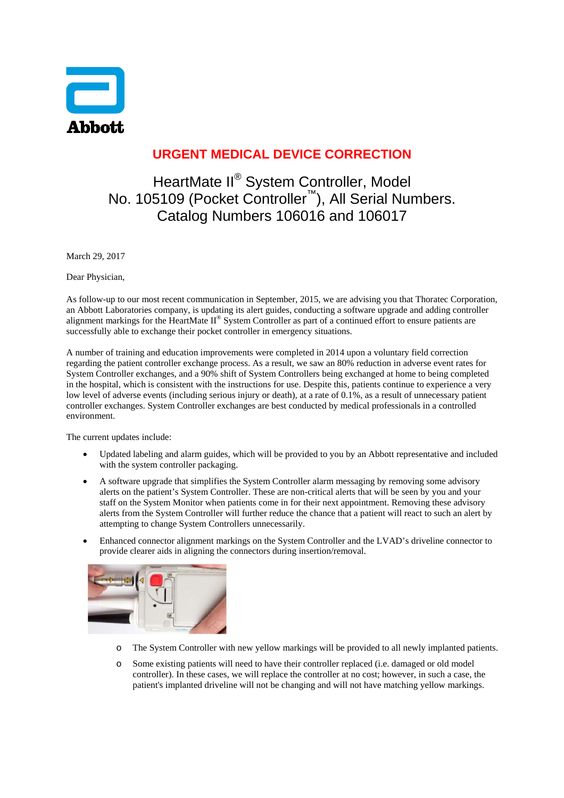

## **URGENT MEDICAL DEVICE CORRECTION**

## HeartMate II® System Controller, Model No. 105109 (Pocket Controller<sup>™</sup>), All Serial Numbers. Catalog Numbers 106016 and 106017

March 29, 2017

Dear Physician,

As follow-up to our most recent communication in September, 2015, we are advising you that Thoratec Corporation, an Abbott Laboratories company, is updating its alert guides, conducting a software upgrade and adding controller alignment markings for the HeartMate II® System Controller as part of a continued effort to ensure patients are successfully able to exchange their pocket controller in emergency situations.

A number of training and education improvements were completed in 2014 upon a voluntary field correction regarding the patient controller exchange process. As a result, we saw an 80% reduction in adverse event rates for System Controller exchanges, and a 90% shift of System Controllers being exchanged at home to being completed in the hospital, which is consistent with the instructions for use. Despite this, patients continue to experience a very low level of adverse events (including serious injury or death), at a rate of 0.1%, as a result of unnecessary patient controller exchanges. System Controller exchanges are best conducted by medical professionals in a controlled environment.

The current updates include:

- Updated labeling and alarm guides, which will be provided to you by an Abbott representative and included with the system controller packaging.
- A software upgrade that simplifies the System Controller alarm messaging by removing some advisory alerts on the patient's System Controller. These are non-critical alerts that will be seen by you and your staff on the System Monitor when patients come in for their next appointment. Removing these advisory alerts from the System Controller will further reduce the chance that a patient will react to such an alert by attempting to change System Controllers unnecessarily.
- Enhanced connector alignment markings on the System Controller and the LVAD's driveline connector to provide clearer aids in aligning the connectors during insertion/removal.



- o The System Controller with new yellow markings will be provided to all newly implanted patients.
- o Some existing patients will need to have their controller replaced (i.e. damaged or old model controller). In these cases, we will replace the controller at no cost; however, in such a case, the patient's implanted driveline will not be changing and will not have matching yellow markings.